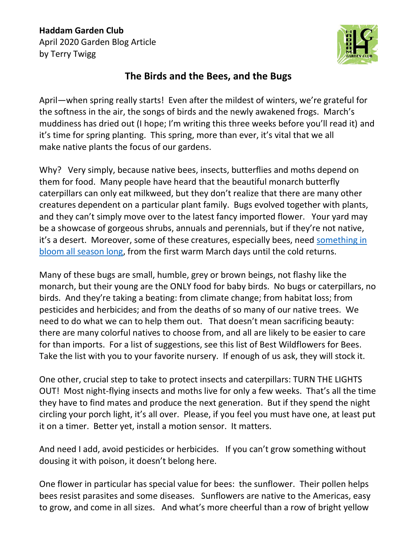## **Haddam Garden Club** April 2020 Garden Blog Article by Terry Twigg



## **The Birds and the Bees, and the Bugs**

April—when spring really starts! Even after the mildest of winters, we're grateful for the softness in the air, the songs of birds and the newly awakened frogs. March's muddiness has dried out (I hope; I'm writing this three weeks before you'll read it) and it's time for spring planting. This spring, more than ever, it's vital that we all make native plants the focus of our gardens.

Why? Very simply, because native bees, insects, butterflies and moths depend on them for food. Many people have heard that the beautiful monarch butterfly caterpillars can only eat milkweed, but they don't realize that there are many other creatures dependent on a particular plant family. Bugs evolved together with plants, and they can't simply move over to the latest fancy imported flower. Your yard may be a showcase of gorgeous shrubs, annuals and perennials, but if they're not native, it's a desert. Moreover, some of these creatures, especially bees, need [something in](https://portal.ct.gov/-/media/CAES/DOCUMENTS/Publications/pollinators/Sample-List-of-Native-Wildflowers-for-Bees-through-the-Season.pdf?la=en)  [bloom all season long,](https://portal.ct.gov/-/media/CAES/DOCUMENTS/Publications/pollinators/Sample-List-of-Native-Wildflowers-for-Bees-through-the-Season.pdf?la=en) from the first warm March days until the cold returns.

Many of these bugs are small, humble, grey or brown beings, not flashy like the monarch, but their young are the ONLY food for baby birds. No bugs or caterpillars, no birds. And they're taking a beating: from climate change; from habitat loss; from pesticides and herbicides; and from the deaths of so many of our native trees. We need to do what we can to help them out. That doesn't mean sacrificing beauty: there are many colorful natives to choose from, and all are likely to be easier to care for than imports. For a list of suggestions, see this list of Best Wildflowers for Bees. Take the list with you to your favorite nursery. If enough of us ask, they will stock it.

One other, crucial step to take to protect insects and caterpillars: TURN THE LIGHTS OUT! Most night-flying insects and moths live for only a few weeks. That's all the time they have to find mates and produce the next generation. But if they spend the night circling your porch light, it's all over. Please, if you feel you must have one, at least put it on a timer. Better yet, install a motion sensor. It matters.

And need I add, avoid pesticides or herbicides. If you can't grow something without dousing it with poison, it doesn't belong here.

One flower in particular has special value for bees: the sunflower. Their pollen helps bees resist parasites and some diseases. Sunflowers are native to the Americas, easy to grow, and come in all sizes. And what's more cheerful than a row of bright yellow